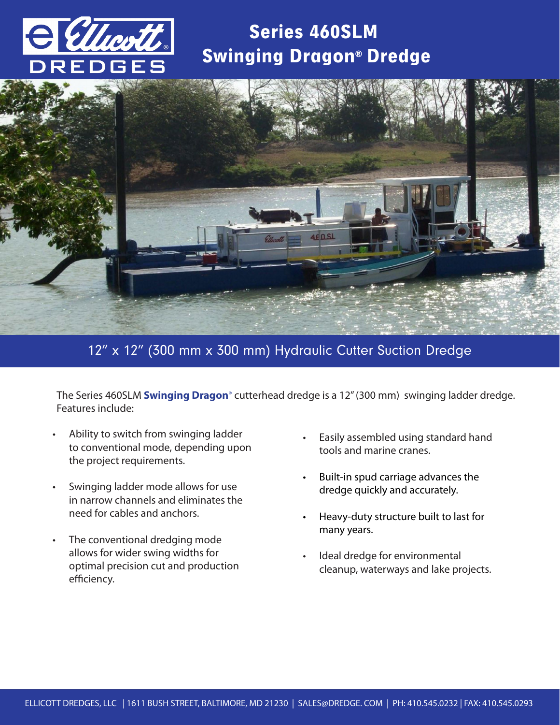

## Series 460SLM Swinging Dragon® Dredge



## 12" x 12" (300 mm x 300 mm) Hydraulic Cutter Suction Dredge

The Series 460SLM **Swinging Dragon**® cutterhead dredge is a 12" (300 mm) swinging ladder dredge. Features include:

- Ability to switch from swinging ladder to conventional mode, depending upon the project requirements.
- Swinging ladder mode allows for use in narrow channels and eliminates the need for cables and anchors.
- The conventional dredging mode allows for wider swing widths for optimal precision cut and production efficiency.
- Easily assembled using standard hand tools and marine cranes.
- Built-in spud carriage advances the dredge quickly and accurately.
- Heavy-duty structure built to last for many years.
- Ideal dredge for environmental cleanup, waterways and lake projects.